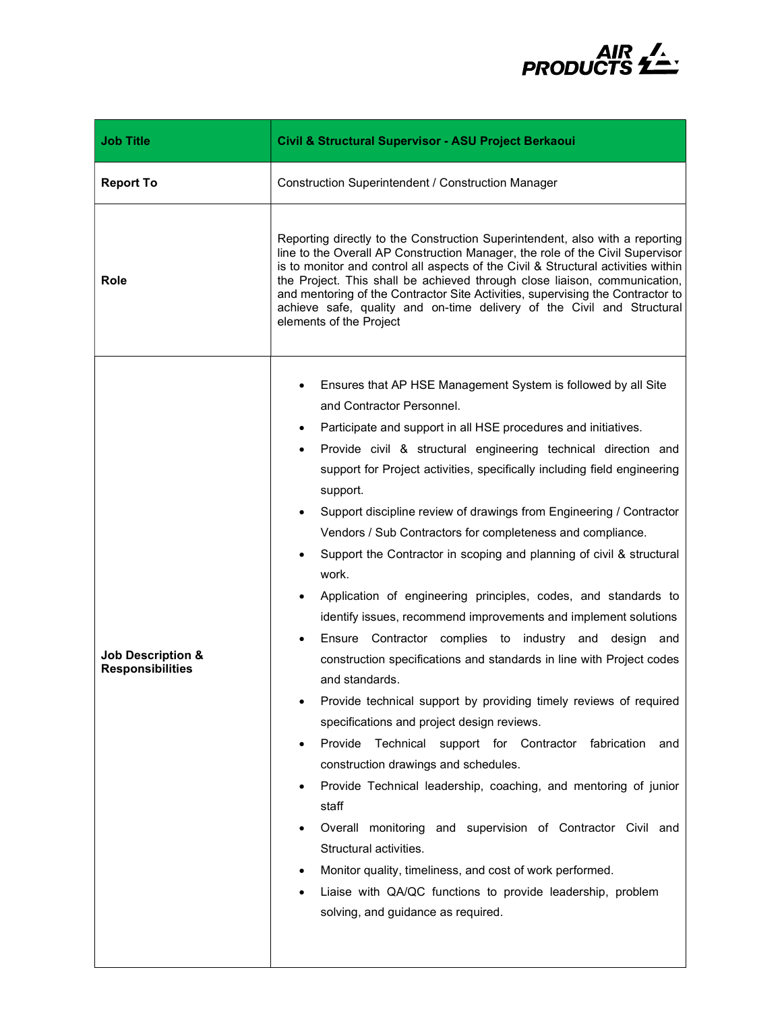

| <b>Job Title</b>                                        | Civil & Structural Supervisor - ASU Project Berkaoui                                                                                                                                                                                                                                                                                                                                                                                                                                                                                                                                                                                                                                                                                                                                                                                                                                                                                                                                                                                                                                                                                                                                                                                                                                                                                                                                                                         |
|---------------------------------------------------------|------------------------------------------------------------------------------------------------------------------------------------------------------------------------------------------------------------------------------------------------------------------------------------------------------------------------------------------------------------------------------------------------------------------------------------------------------------------------------------------------------------------------------------------------------------------------------------------------------------------------------------------------------------------------------------------------------------------------------------------------------------------------------------------------------------------------------------------------------------------------------------------------------------------------------------------------------------------------------------------------------------------------------------------------------------------------------------------------------------------------------------------------------------------------------------------------------------------------------------------------------------------------------------------------------------------------------------------------------------------------------------------------------------------------------|
| <b>Report To</b>                                        | <b>Construction Superintendent / Construction Manager</b>                                                                                                                                                                                                                                                                                                                                                                                                                                                                                                                                                                                                                                                                                                                                                                                                                                                                                                                                                                                                                                                                                                                                                                                                                                                                                                                                                                    |
| Role                                                    | Reporting directly to the Construction Superintendent, also with a reporting<br>line to the Overall AP Construction Manager, the role of the Civil Supervisor<br>is to monitor and control all aspects of the Civil & Structural activities within<br>the Project. This shall be achieved through close liaison, communication,<br>and mentoring of the Contractor Site Activities, supervising the Contractor to<br>achieve safe, quality and on-time delivery of the Civil and Structural<br>elements of the Project                                                                                                                                                                                                                                                                                                                                                                                                                                                                                                                                                                                                                                                                                                                                                                                                                                                                                                       |
| <b>Job Description &amp;</b><br><b>Responsibilities</b> | Ensures that AP HSE Management System is followed by all Site<br>and Contractor Personnel.<br>Participate and support in all HSE procedures and initiatives.<br>Provide civil & structural engineering technical direction and<br>$\bullet$<br>support for Project activities, specifically including field engineering<br>support.<br>Support discipline review of drawings from Engineering / Contractor<br>Vendors / Sub Contractors for completeness and compliance.<br>Support the Contractor in scoping and planning of civil & structural<br>work.<br>Application of engineering principles, codes, and standards to<br>identify issues, recommend improvements and implement solutions<br>Ensure Contractor complies to industry and design and<br>construction specifications and standards in line with Project codes<br>and standards.<br>Provide technical support by providing timely reviews of required<br>specifications and project design reviews.<br>Provide<br>Technical support for Contractor fabrication<br>and<br>construction drawings and schedules.<br>Provide Technical leadership, coaching, and mentoring of junior<br>٠<br>staff<br>Overall monitoring and supervision of Contractor Civil and<br>Structural activities.<br>Monitor quality, timeliness, and cost of work performed.<br>٠<br>Liaise with QA/QC functions to provide leadership, problem<br>solving, and guidance as required. |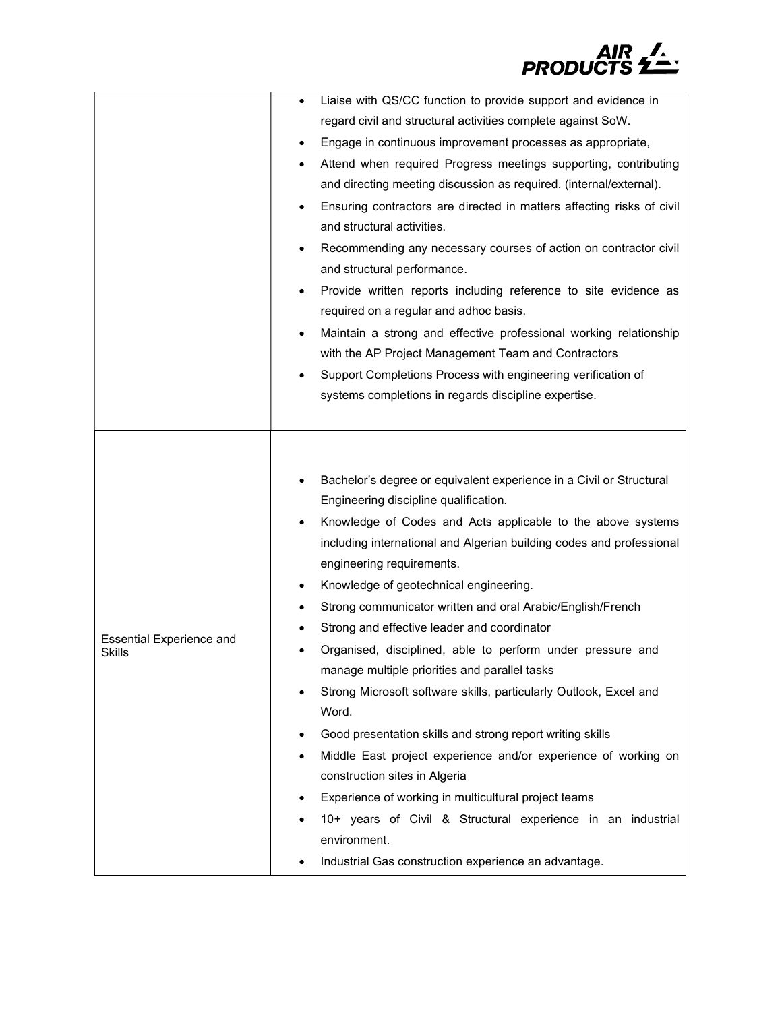

|                                                  | Liaise with QS/CC function to provide support and evidence in<br>regard civil and structural activities complete against SoW.<br>Engage in continuous improvement processes as appropriate,<br>٠<br>Attend when required Progress meetings supporting, contributing<br>and directing meeting discussion as required. (internal/external).<br>Ensuring contractors are directed in matters affecting risks of civil<br>٠<br>and structural activities.<br>Recommending any necessary courses of action on contractor civil<br>and structural performance.<br>Provide written reports including reference to site evidence as<br>required on a regular and adhoc basis.<br>Maintain a strong and effective professional working relationship<br>with the AP Project Management Team and Contractors<br>Support Completions Process with engineering verification of<br>systems completions in regards discipline expertise.                                                                                     |
|--------------------------------------------------|---------------------------------------------------------------------------------------------------------------------------------------------------------------------------------------------------------------------------------------------------------------------------------------------------------------------------------------------------------------------------------------------------------------------------------------------------------------------------------------------------------------------------------------------------------------------------------------------------------------------------------------------------------------------------------------------------------------------------------------------------------------------------------------------------------------------------------------------------------------------------------------------------------------------------------------------------------------------------------------------------------------|
| <b>Essential Experience and</b><br><b>Skills</b> | Bachelor's degree or equivalent experience in a Civil or Structural<br>Engineering discipline qualification.<br>Knowledge of Codes and Acts applicable to the above systems<br>including international and Algerian building codes and professional<br>engineering requirements.<br>Knowledge of geotechnical engineering.<br>٠<br>Strong communicator written and oral Arabic/English/French<br>Strong and effective leader and coordinator<br>Organised, disciplined, able to perform under pressure and<br>٠<br>manage multiple priorities and parallel tasks<br>Strong Microsoft software skills, particularly Outlook, Excel and<br>Word.<br>Good presentation skills and strong report writing skills<br>Middle East project experience and/or experience of working on<br>construction sites in Algeria<br>Experience of working in multicultural project teams<br>10+ years of Civil & Structural experience in an industrial<br>environment.<br>Industrial Gas construction experience an advantage. |